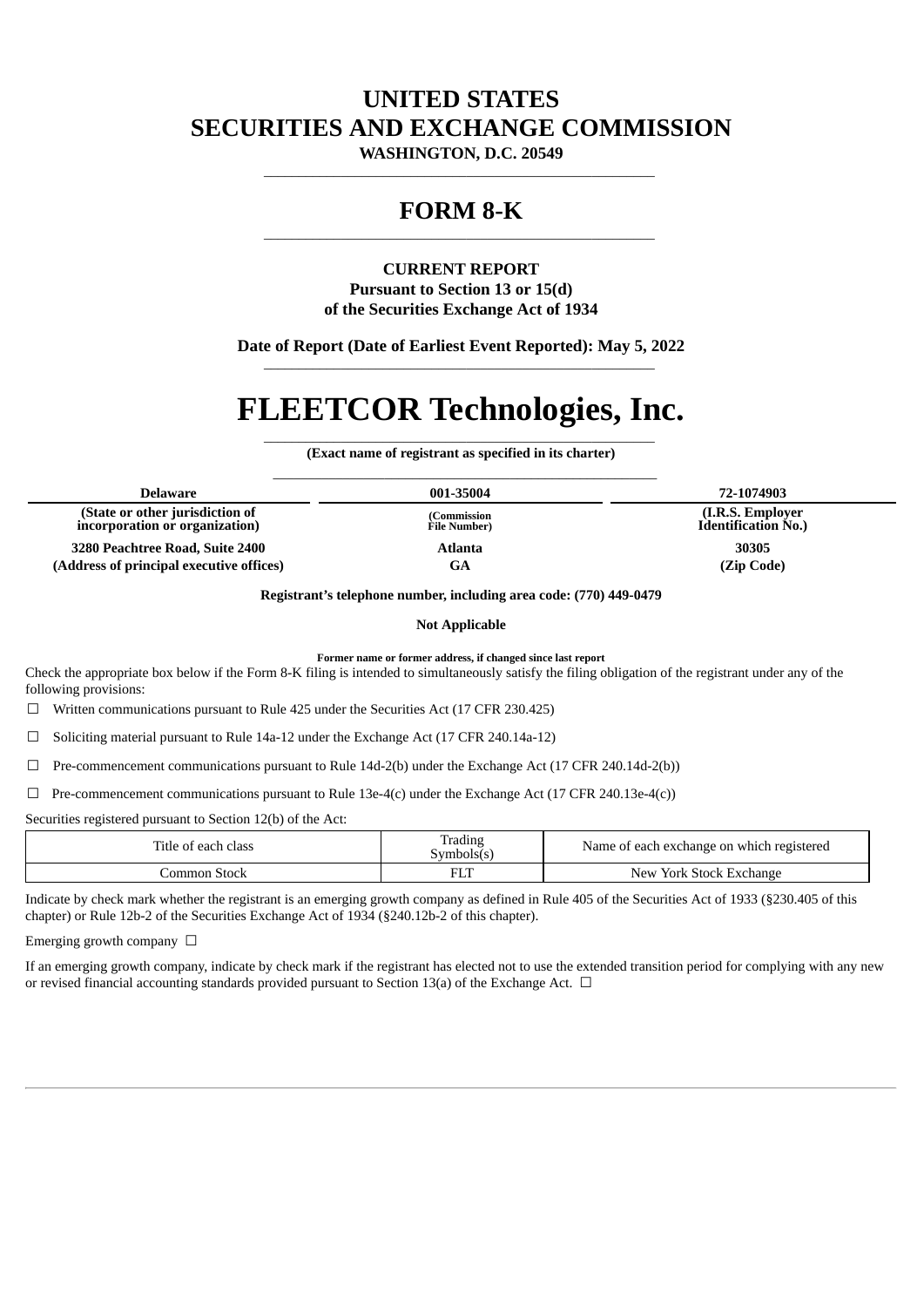# **UNITED STATES SECURITIES AND EXCHANGE COMMISSION**

**WASHINGTON, D.C. 20549** \_\_\_\_\_\_\_\_\_\_\_\_\_\_\_\_\_\_\_\_\_\_\_\_\_\_\_\_\_\_\_\_\_\_\_\_\_\_\_\_\_\_\_\_\_\_\_\_\_\_\_\_\_\_\_\_

# **FORM 8-K** \_\_\_\_\_\_\_\_\_\_\_\_\_\_\_\_\_\_\_\_\_\_\_\_\_\_\_\_\_\_\_\_\_\_\_\_\_\_\_\_\_\_\_\_\_\_\_\_\_\_\_\_\_\_\_\_

## **CURRENT REPORT Pursuant to Section 13 or 15(d) of the Securities Exchange Act of 1934**

**Date of Report (Date of Earliest Event Reported): May 5, 2022** \_\_\_\_\_\_\_\_\_\_\_\_\_\_\_\_\_\_\_\_\_\_\_\_\_\_\_\_\_\_\_\_\_\_\_\_\_\_\_\_\_\_\_\_\_\_\_\_\_\_\_\_\_\_\_\_

# **FLEETCOR Technologies, Inc.**

\_\_\_\_\_\_\_\_\_\_\_\_\_\_\_\_\_\_\_\_\_\_\_\_\_\_\_\_\_\_\_\_\_\_\_\_\_\_\_\_\_\_\_\_\_\_\_\_\_\_\_\_\_\_\_\_ **(Exact name of registrant as specified in its charter)** \_\_\_\_\_\_\_\_\_\_\_\_\_\_\_\_\_\_\_\_\_\_\_\_\_\_\_\_\_\_\_\_\_\_\_\_\_\_\_\_\_\_\_\_\_\_\_\_\_\_\_\_\_\_\_

**(State or other jurisdiction of incorporation or organization) 3280 Peachtree Road, Suite 2400 Atlanta 30305 (Address of principal executive offices) GA (Zip Code)**

**(Commission File Number)**

**Delaware 001-35004 72-1074903**

**(I.R.S. Employer Identification No.)**

**Registrant's telephone number, including area code: (770) 449-0479**

**Not Applicable**

**Former name or former address, if changed since last report**

Check the appropriate box below if the Form 8-K filing is intended to simultaneously satisfy the filing obligation of the registrant under any of the following provisions:

☐ Written communications pursuant to Rule 425 under the Securities Act (17 CFR 230.425)

☐ Soliciting material pursuant to Rule 14a-12 under the Exchange Act (17 CFR 240.14a-12)

 $\Box$  Pre-commencement communications pursuant to Rule 14d-2(b) under the Exchange Act (17 CFR 240.14d-2(b))

 $\Box$  Pre-commencement communications pursuant to Rule 13e-4(c) under the Exchange Act (17 CFR 240.13e-4(c))

Securities registered pursuant to Section 12(b) of the Act:

| Title of each class | Trading<br>Symbols(s | Name of each exchange on which registered |
|---------------------|----------------------|-------------------------------------------|
| Common Stock        | nt o<br>பப           | New York Stock Exchange                   |

Indicate by check mark whether the registrant is an emerging growth company as defined in Rule 405 of the Securities Act of 1933 (§230.405 of this chapter) or Rule 12b-2 of the Securities Exchange Act of 1934 (§240.12b-2 of this chapter).

Emerging growth company  $\Box$ 

If an emerging growth company, indicate by check mark if the registrant has elected not to use the extended transition period for complying with any new or revised financial accounting standards provided pursuant to Section 13(a) of the Exchange Act.  $\Box$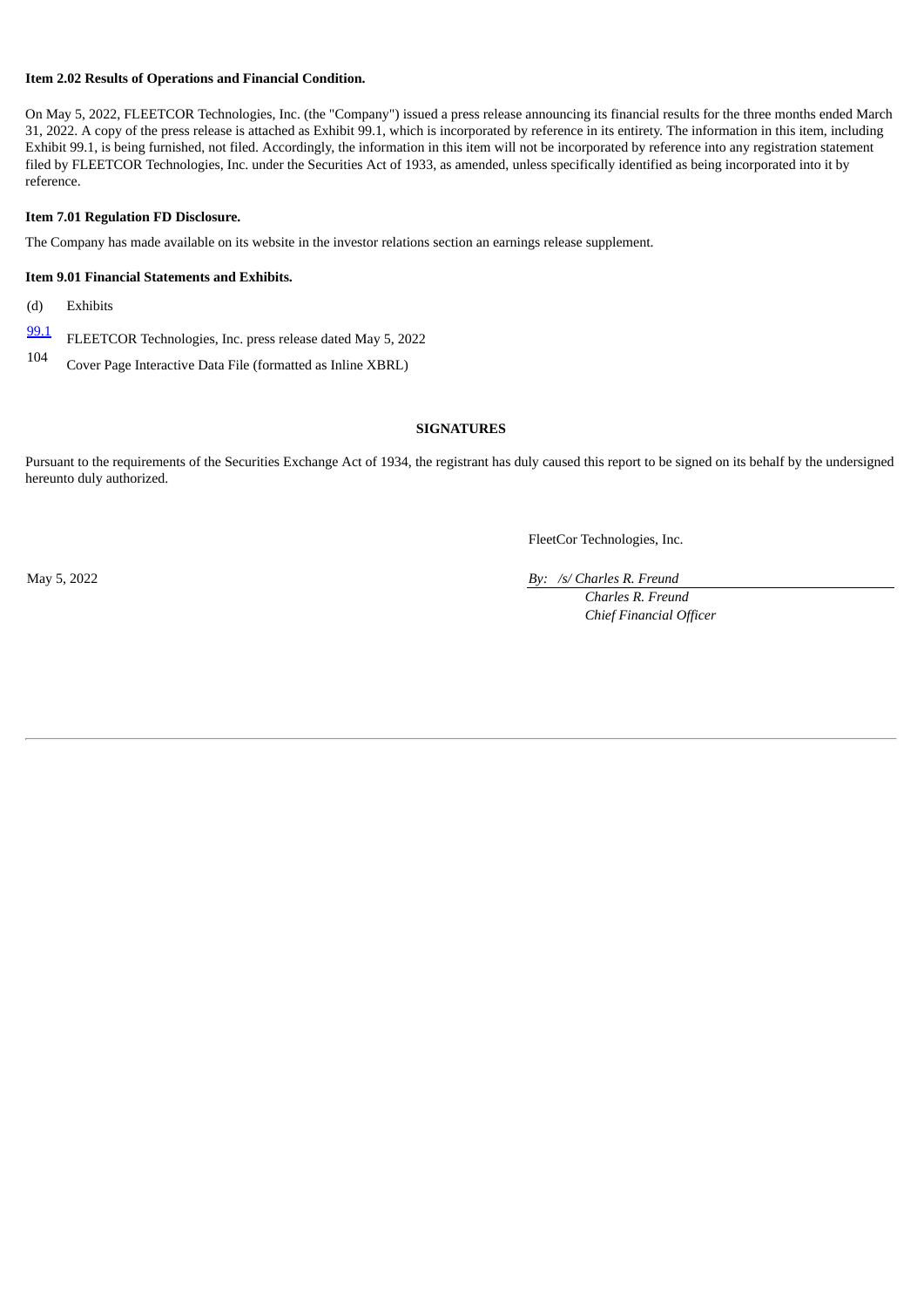#### **Item 2.02 Results of Operations and Financial Condition.**

On May 5, 2022, FLEETCOR Technologies, Inc. (the "Company") issued a press release announcing its financial results for the three months ended March 31, 2022. A copy of the press release is attached as Exhibit 99.1, which is incorporated by reference in its entirety. The information in this item, including Exhibit 99.1, is being furnished, not filed. Accordingly, the information in this item will not be incorporated by reference into any registration statement filed by FLEETCOR Technologies, Inc. under the Securities Act of 1933, as amended, unless specifically identified as being incorporated into it by reference.

#### **Item 7.01 Regulation FD Disclosure.**

The Company has made available on its website in the investor relations section an earnings release supplement.

#### **Item 9.01 Financial Statements and Exhibits.**

(d) Exhibits

[99.1](#page-3-0) FLEETCOR Technologies, Inc. press release dated May 5, <sup>2022</sup>

<sup>104</sup> Cover Page Interactive Data File (formatted as Inline XBRL)

#### **SIGNATURES**

Pursuant to the requirements of the Securities Exchange Act of 1934, the registrant has duly caused this report to be signed on its behalf by the undersigned hereunto duly authorized.

FleetCor Technologies, Inc.

May 5, 2022 *By: /s/ Charles R. Freund*

*Charles R. Freund Chief Financial Officer*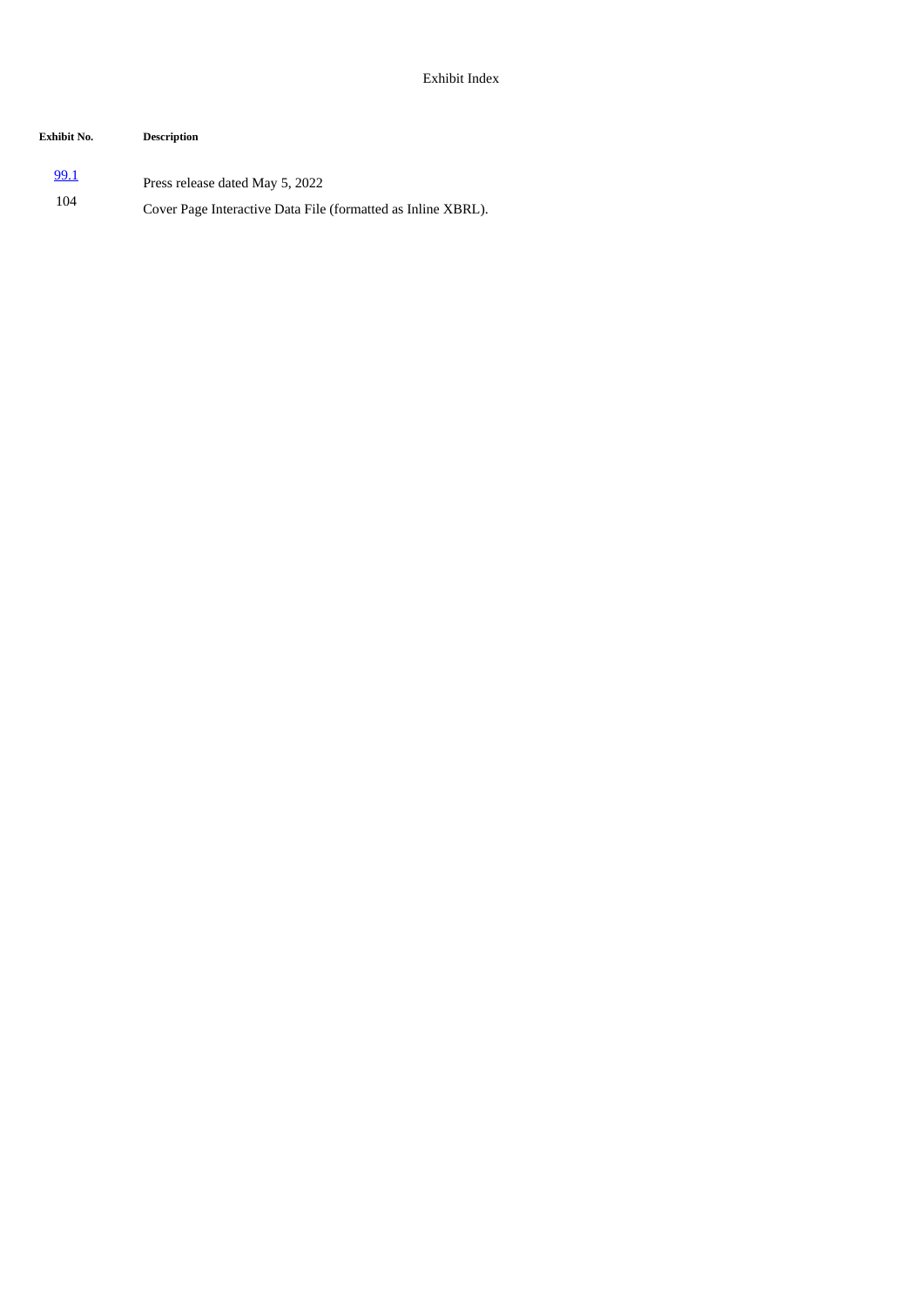### Exhibit Index

| Exhibit No. | <b>Description</b>                                           |
|-------------|--------------------------------------------------------------|
| 99.1        | Press release dated May 5, 2022                              |
| 104         | Cover Page Interactive Data File (formatted as Inline XBRL). |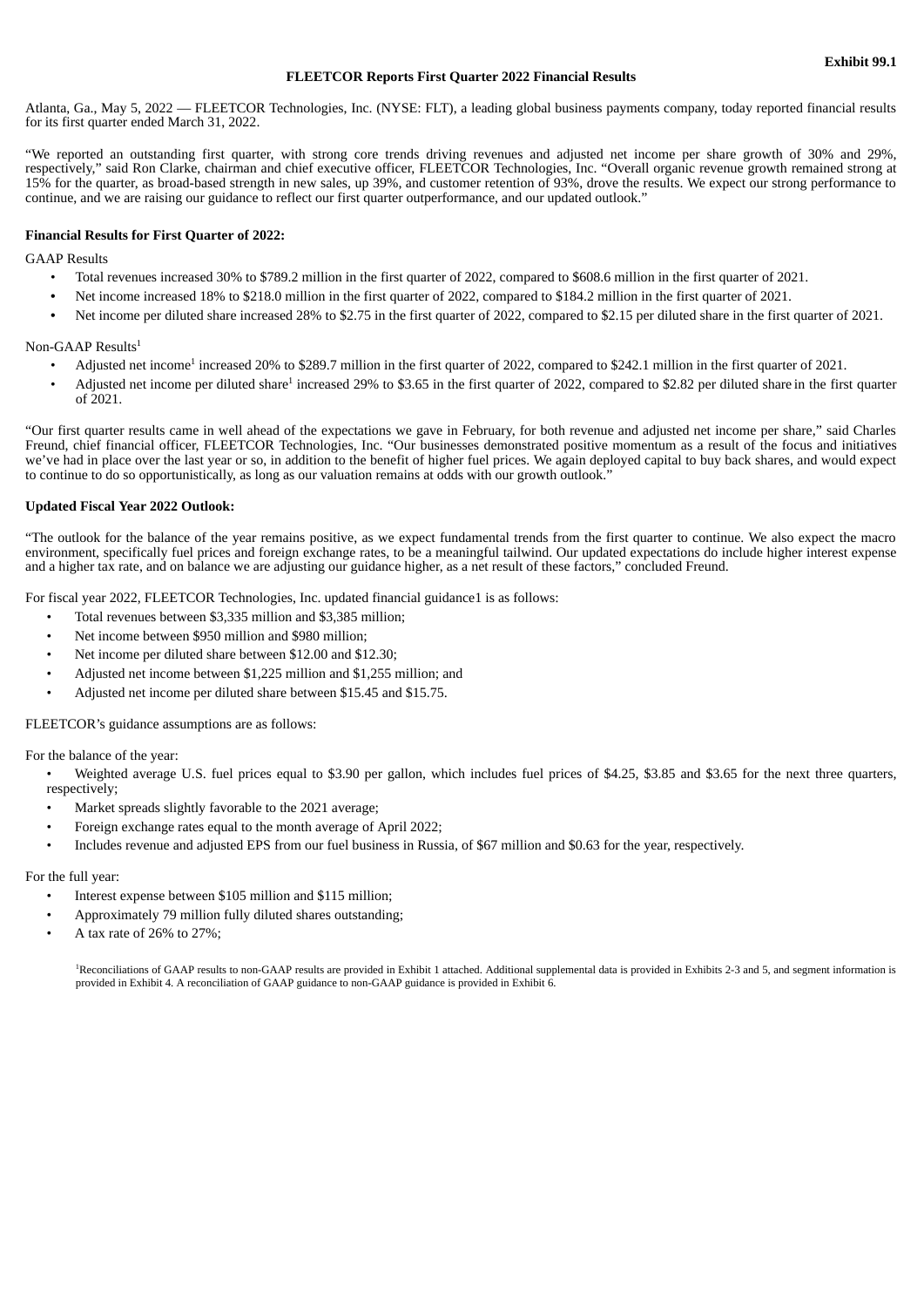#### **FLEETCOR Reports First Quarter 2022 Financial Results**

<span id="page-3-0"></span>Atlanta, Ga., May 5, 2022 — FLEETCOR Technologies, Inc. (NYSE: FLT), a leading global business payments company, today reported financial results for its first quarter ended March 31, 2022.

"We reported an outstanding first quarter, with strong core trends driving revenues and adjusted net income per share growth of 30% and 29%, respectively," said Ron Clarke, chairman and chief executive officer, FLEETCOR Technologies, Inc. "Overall organic revenue growth remained strong at 15% for the quarter, as broad-based strength in new sales, up 39%, and customer retention of 93%, drove the results. We expect our strong performance to continue, and we are raising our guidance to reflect our first quarter outperformance, and our updated outlook."

#### **Financial Results for First Quarter of 2022:**

#### GAAP Results

- Total revenues increased 30% to \$789.2 million in the first quarter of 2022, compared to \$608.6 million in the first quarter of 2021.
- Net income increased 18% to \$218.0 million in the first quarter of 2022, compared to \$184.2 million in the first quarter of 2021.
- Net income per diluted share increased 28% to \$2.75 in the first quarter of 2022, compared to \$2.15 per diluted share in the first quarter of 2021.

#### Non-GAAP Results<sup>1</sup>

- Adjusted net income<sup>1</sup> increased 20% to \$289.7 million in the first quarter of 2022, compared to \$242.1 million in the first quarter of 2021.
- Adjusted net income per diluted share<sup>1</sup> increased 29% to \$3.65 in the first quarter of 2022, compared to \$2.82 per diluted share in the first quarter of 2021.

"Our first quarter results came in well ahead of the expectations we gave in February, for both revenue and adjusted net income per share," said Charles Freund, chief financial officer, FLEETCOR Technologies, Inc. "Our businesses demonstrated positive momentum as a result of the focus and initiatives we've had in place over the last year or so, in addition to the benefit of higher fuel prices. We again deployed capital to buy back shares, and would expect to continue to do so opportunistically, as long as our valuation remains at odds with our growth outlook."

#### **Updated Fiscal Year 2022 Outlook:**

"The outlook for the balance of the year remains positive, as we expect fundamental trends from the first quarter to continue. We also expect the macro environment, specifically fuel prices and foreign exchange rates, to be a meaningful tailwind. Our updated expectations do include higher interest expense and a higher tax rate, and on balance we are adjusting our guidance higher, as a net result of these factors," concluded Freund.

For fiscal year 2022, FLEETCOR Technologies, Inc. updated financial guidance1 is as follows:

- Total revenues between \$3,335 million and \$3,385 million;
- Net income between \$950 million and \$980 million;
- Net income per diluted share between \$12.00 and \$12.30;
- Adjusted net income between \$1,225 million and \$1,255 million; and
- Adjusted net income per diluted share between \$15.45 and \$15.75.

FLEETCOR's guidance assumptions are as follows:

#### For the balance of the year:

• Weighted average U.S. fuel prices equal to \$3.90 per gallon, which includes fuel prices of \$4.25, \$3.85 and \$3.65 for the next three quarters, respectively;

- Market spreads slightly favorable to the 2021 average;
- Foreign exchange rates equal to the month average of April 2022;
- Includes revenue and adjusted EPS from our fuel business in Russia, of \$67 million and \$0.63 for the year, respectively.

#### For the full year:

- Interest expense between \$105 million and \$115 million;
- Approximately 79 million fully diluted shares outstanding;
- A tax rate of 26% to 27%;

<sup>1</sup>Reconciliations of GAAP results to non-GAAP results are provided in Exhibit 1 attached. Additional supplemental data is provided in Exhibits 2-3 and 5, and segment information is provided in Exhibit 4. A reconciliation of GAAP guidance to non-GAAP guidance is provided in Exhibit 6.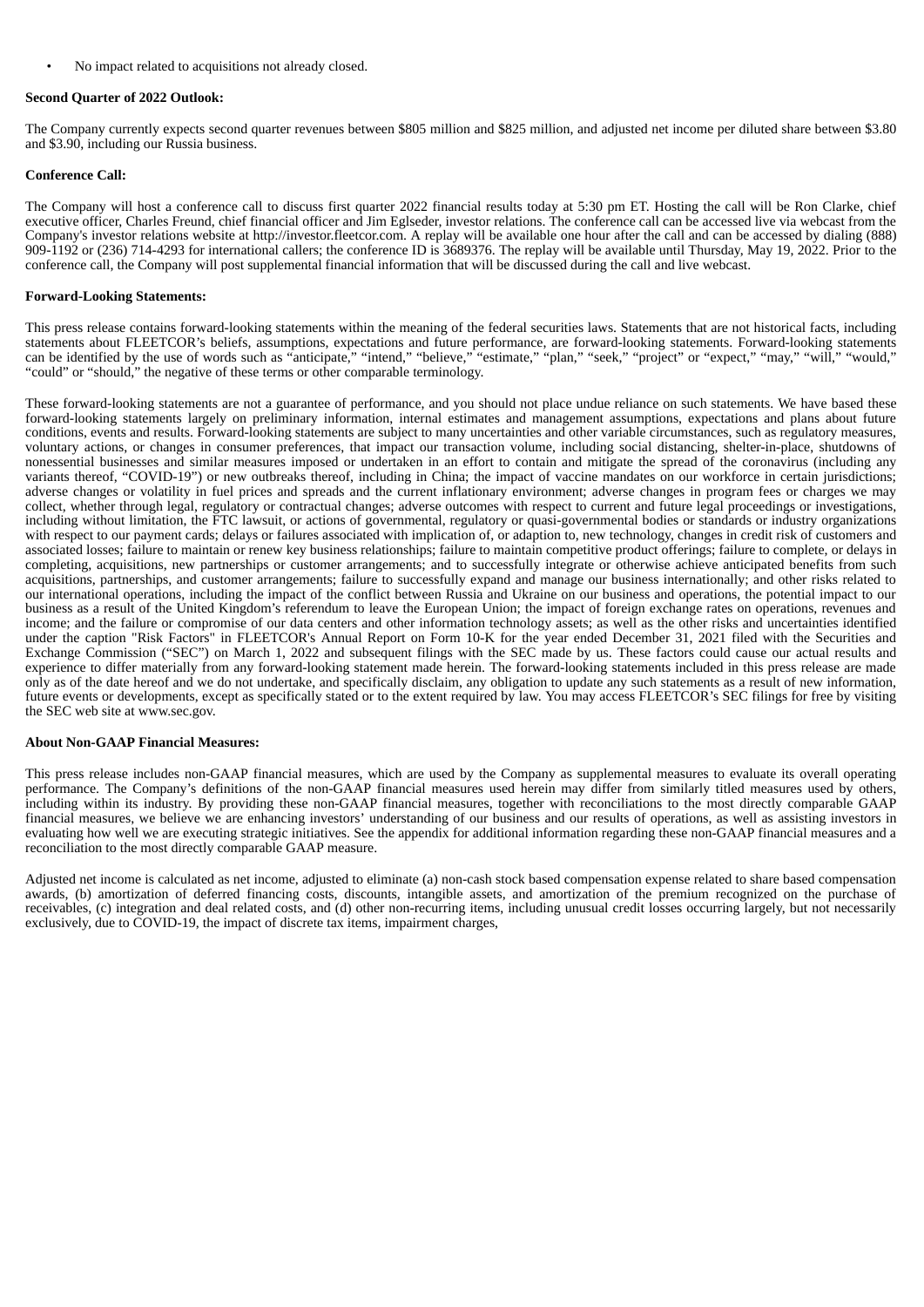• No impact related to acquisitions not already closed.

#### **Second Quarter of 2022 Outlook:**

The Company currently expects second quarter revenues between \$805 million and \$825 million, and adjusted net income per diluted share between \$3.80 and \$3.90, including our Russia business.

#### **Conference Call:**

The Company will host a conference call to discuss first quarter 2022 financial results today at 5:30 pm ET. Hosting the call will be Ron Clarke, chief executive officer, Charles Freund, chief financial officer and Jim Eglseder, investor relations. The conference call can be accessed live via webcast from the Company's investor relations website at http://investor.fleetcor.com. A replay will be available one hour after the call and can be accessed by dialing (888) 909-1192 or (236) 714-4293 for international callers; the conference ID is 3689376. The replay will be available until Thursday, May 19, 2022. Prior to the conference call, the Company will post supplemental financial information that will be discussed during the call and live webcast.

#### **Forward-Looking Statements:**

This press release contains forward-looking statements within the meaning of the federal securities laws. Statements that are not historical facts, including statements about FLEETCOR's beliefs, assumptions, expectations and future performance, are forward-looking statements. Forward-looking statements can be identified by the use of words such as "anticipate," "intend," "believe," "estimate," "plan," "seek," "project" or "expect," "may," "will," "would," "could" or "should," the negative of these terms or other comparable terminology.

These forward-looking statements are not a guarantee of performance, and you should not place undue reliance on such statements. We have based these forward-looking statements largely on preliminary information, internal estimates and management assumptions, expectations and plans about future conditions, events and results. Forward-looking statements are subject to many uncertainties and other variable circumstances, such as regulatory measures, voluntary actions, or changes in consumer preferences, that impact our transaction volume, including social distancing, shelter-in-place, shutdowns of nonessential businesses and similar measures imposed or undertaken in an effort to contain and mitigate the spread of the coronavirus (including any variants thereof, "COVID-19") or new outbreaks thereof, including in China; the impact of vaccine mandates on our workforce in certain jurisdictions; adverse changes or volatility in fuel prices and spreads and the current inflationary environment; adverse changes in program fees or charges we may collect, whether through legal, regulatory or contractual changes; adverse outcomes with respect to current and future legal proceedings or investigations, including without limitation, the FTC lawsuit, or actions of governmental, regulatory or quasi-governmental bodies or standards or industry organizations with respect to our payment cards; delays or failures associated with implication of, or adaption to, new technology, changes in credit risk of customers and associated losses; failure to maintain or renew key business relationships; failure to maintain competitive product offerings; failure to complete, or delays in completing, acquisitions, new partnerships or customer arrangements; and to successfully integrate or otherwise achieve anticipated benefits from such acquisitions, partnerships, and customer arrangements; failure to successfully expand and manage our business internationally; and other risks related to our international operations, including the impact of the conflict between Russia and Ukraine on our business and operations, the potential impact to our business as a result of the United Kingdom's referendum to leave the European Union; the impact of foreign exchange rates on operations, revenues and income; and the failure or compromise of our data centers and other information technology assets; as well as the other risks and uncertainties identified under the caption "Risk Factors" in FLEETCOR's Annual Report on Form 10-K for the year ended December 31, 2021 filed with the Securities and Exchange Commission ("SEC") on March 1, 2022 and subsequent filings with the SEC made by us. These factors could cause our actual results and experience to differ materially from any forward-looking statement made herein. The forward-looking statements included in this press release are made only as of the date hereof and we do not undertake, and specifically disclaim, any obligation to update any such statements as a result of new information, future events or developments, except as specifically stated or to the extent required by law. You may access FLEETCOR's SEC filings for free by visiting the SEC web site at www.sec.gov.

#### **About Non-GAAP Financial Measures:**

This press release includes non-GAAP financial measures, which are used by the Company as supplemental measures to evaluate its overall operating performance. The Company's definitions of the non-GAAP financial measures used herein may differ from similarly titled measures used by others, including within its industry. By providing these non-GAAP financial measures, together with reconciliations to the most directly comparable GAAP financial measures, we believe we are enhancing investors' understanding of our business and our results of operations, as well as assisting investors in evaluating how well we are executing strategic initiatives. See the appendix for additional information regarding these non-GAAP financial measures and a reconciliation to the most directly comparable GAAP measure.

Adjusted net income is calculated as net income, adjusted to eliminate (a) non-cash stock based compensation expense related to share based compensation awards, (b) amortization of deferred financing costs, discounts, intangible assets, and amortization of the premium recognized on the purchase of receivables, (c) integration and deal related costs, and (d) other non-recurring items, including unusual credit losses occurring largely, but not necessarily exclusively, due to COVID-19, the impact of discrete tax items, impairment charges,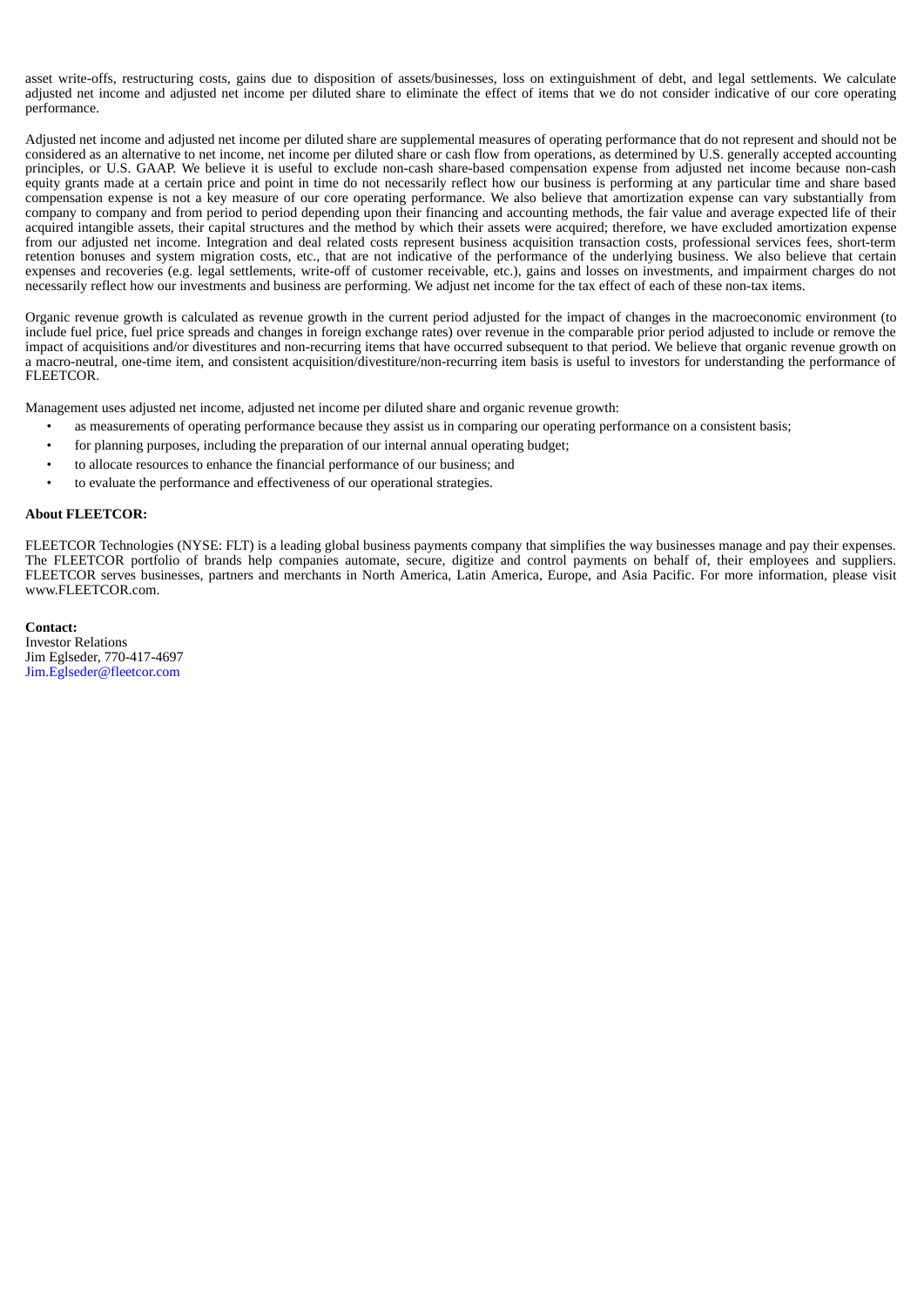asset write-offs, restructuring costs, gains due to disposition of assets/businesses, loss on extinguishment of debt, and legal settlements. We calculate adjusted net income and adjusted net income per diluted share to eliminate the effect of items that we do not consider indicative of our core operating performance.

Adjusted net income and adjusted net income per diluted share are supplemental measures of operating performance that do not represent and should not be considered as an alternative to net income, net income per diluted share or cash flow from operations, as determined by U.S. generally accepted accounting principles, or U.S. GAAP. We believe it is useful to exclude non-cash share-based compensation expense from adjusted net income because non-cash equity grants made at a certain price and point in time do not necessarily reflect how our business is performing at any particular time and share based compensation expense is not a key measure of our core operating performance. We also believe that amortization expense can vary substantially from company to company and from period to period depending upon their financing and accounting methods, the fair value and average expected life of their acquired intangible assets, their capital structures and the method by which their assets were acquired; therefore, we have excluded amortization expense from our adjusted net income. Integration and deal related costs represent business acquisition transaction costs, professional services fees, short-term retention bonuses and system migration costs, etc., that are not indicative of the performance of the underlying business. We also believe that certain expenses and recoveries (e.g. legal settlements, write-off of customer receivable, etc.), gains and losses on investments, and impairment charges do not necessarily reflect how our investments and business are performing. We adjust net income for the tax effect of each of these non-tax items.

Organic revenue growth is calculated as revenue growth in the current period adjusted for the impact of changes in the macroeconomic environment (to include fuel price, fuel price spreads and changes in foreign exchange rates) over revenue in the comparable prior period adjusted to include or remove the impact of acquisitions and/or divestitures and non-recurring items that have occurred subsequent to that period. We believe that organic revenue growth on a macro-neutral, one-time item, and consistent acquisition/divestiture/non-recurring item basis is useful to investors for understanding the performance of **FLEETCOR** 

Management uses adjusted net income, adjusted net income per diluted share and organic revenue growth:

- as measurements of operating performance because they assist us in comparing our operating performance on a consistent basis;
- for planning purposes, including the preparation of our internal annual operating budget;
- to allocate resources to enhance the financial performance of our business; and
- to evaluate the performance and effectiveness of our operational strategies.

#### **About FLEETCOR:**

FLEETCOR Technologies (NYSE: FLT) is a leading global business payments company that simplifies the way businesses manage and pay their expenses. The FLEETCOR portfolio of brands help companies automate, secure, digitize and control payments on behalf of, their employees and suppliers. FLEETCOR serves businesses, partners and merchants in North America, Latin America, Europe, and Asia Pacific. For more information, please visit www.FLEETCOR.com.

**Contact:** Investor Relations Jim Eglseder, 770-417-4697 Jim.Eglseder@fleetcor.com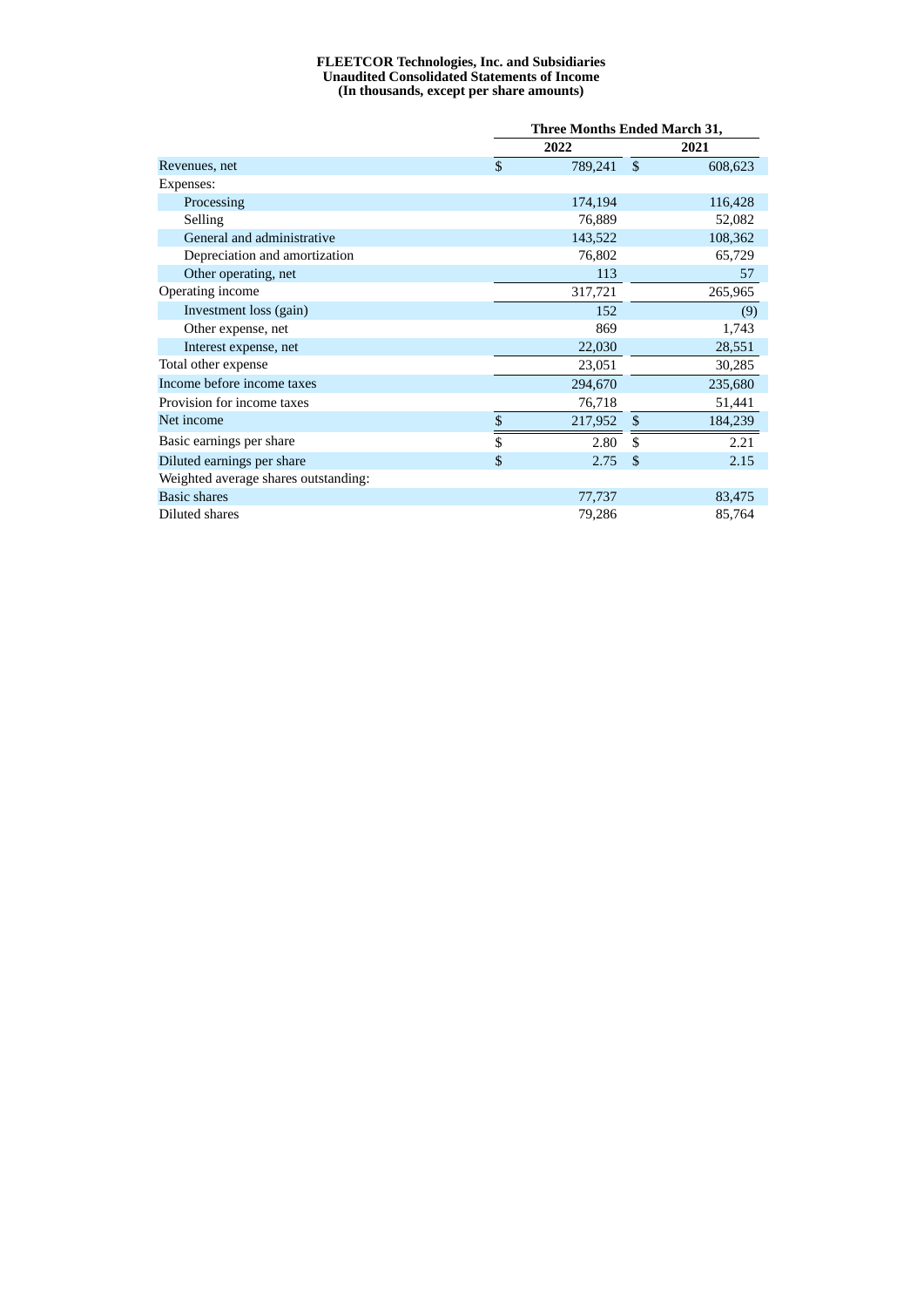#### **FLEETCOR Technologies, Inc. and Subsidiaries Unaudited Consolidated Statements of Income (In thousands, except per share amounts)**

|                                      | <b>Three Months Ended March 31,</b> |         |                         |         |  |  |  |
|--------------------------------------|-------------------------------------|---------|-------------------------|---------|--|--|--|
|                                      |                                     | 2022    |                         | 2021    |  |  |  |
| Revenues, net                        | $\mathbb{S}$                        | 789,241 | $\mathbf{\mathfrak{S}}$ | 608,623 |  |  |  |
| Expenses:                            |                                     |         |                         |         |  |  |  |
| Processing                           |                                     | 174,194 |                         | 116,428 |  |  |  |
| Selling                              |                                     | 76,889  |                         | 52,082  |  |  |  |
| General and administrative           |                                     | 143,522 |                         | 108,362 |  |  |  |
| Depreciation and amortization        |                                     | 76,802  |                         | 65,729  |  |  |  |
| Other operating, net                 |                                     | 113     |                         | 57      |  |  |  |
| Operating income                     |                                     | 317,721 |                         | 265,965 |  |  |  |
| Investment loss (gain)               |                                     | 152     |                         | (9)     |  |  |  |
| Other expense, net                   |                                     | 869     |                         | 1,743   |  |  |  |
| Interest expense, net                |                                     | 22,030  |                         | 28,551  |  |  |  |
| Total other expense                  |                                     | 23,051  |                         | 30,285  |  |  |  |
| Income before income taxes           |                                     | 294,670 |                         | 235,680 |  |  |  |
| Provision for income taxes           |                                     | 76,718  |                         | 51,441  |  |  |  |
| Net income                           | \$                                  | 217,952 | $\mathfrak{S}$          | 184,239 |  |  |  |
| Basic earnings per share             | \$                                  | 2.80    | \$                      | 2.21    |  |  |  |
| Diluted earnings per share           | \$                                  | 2.75    | \$                      | 2.15    |  |  |  |
| Weighted average shares outstanding: |                                     |         |                         |         |  |  |  |
| <b>Basic shares</b>                  |                                     | 77,737  |                         | 83,475  |  |  |  |
| Diluted shares                       |                                     | 79,286  |                         | 85,764  |  |  |  |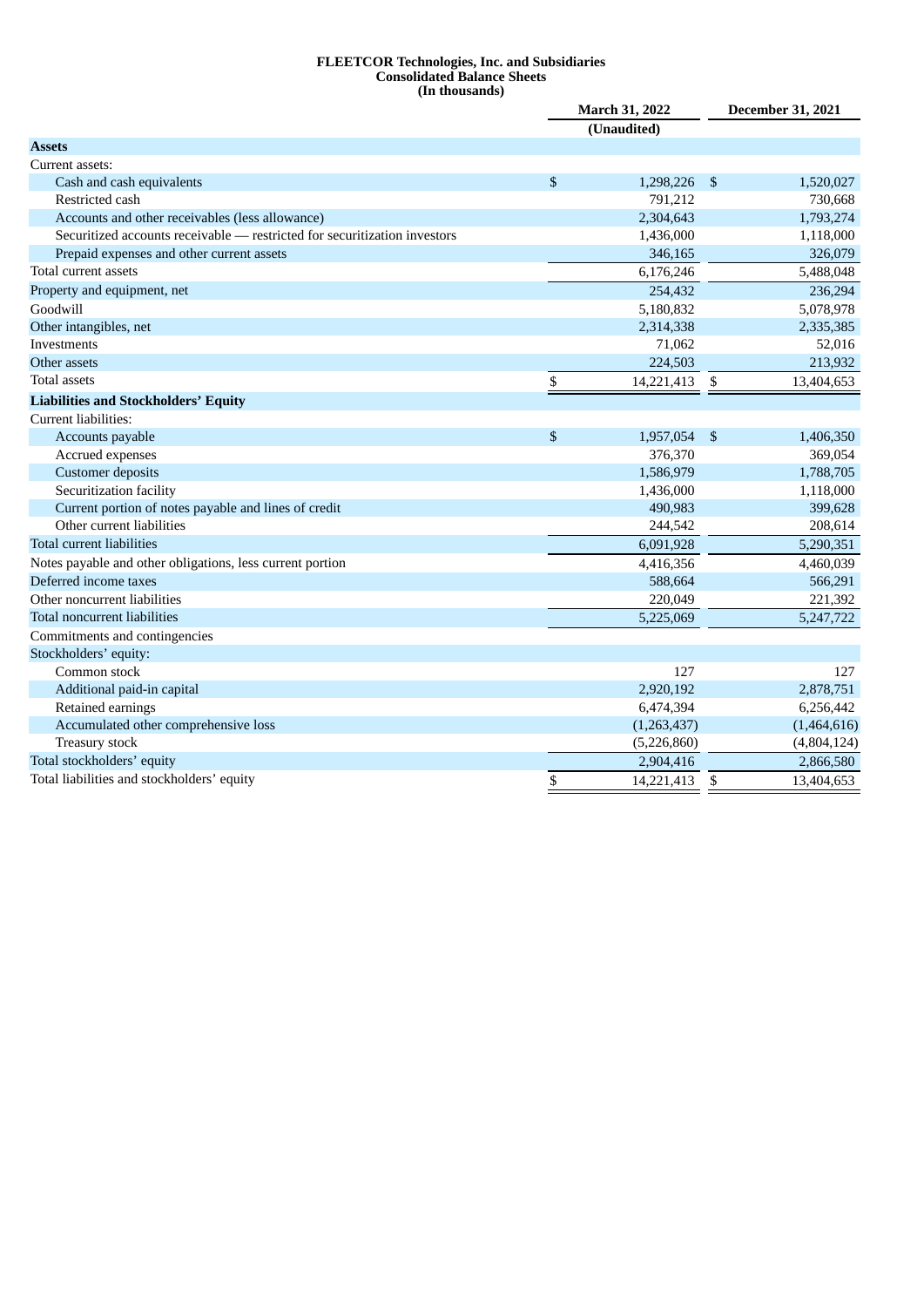#### **FLEETCOR Technologies, Inc. and Subsidiaries Consolidated Balance Sheets (In thousands)**

|                                                                           | March 31, 2022   | <b>December 31, 2021</b> |             |  |
|---------------------------------------------------------------------------|------------------|--------------------------|-------------|--|
|                                                                           | (Unaudited)      |                          |             |  |
| <b>Assets</b>                                                             |                  |                          |             |  |
| Current assets:                                                           |                  |                          |             |  |
| Cash and cash equivalents                                                 | \$<br>1,298,226  | -\$                      | 1,520,027   |  |
| Restricted cash                                                           | 791,212          |                          | 730,668     |  |
| Accounts and other receivables (less allowance)                           | 2,304,643        |                          | 1,793,274   |  |
| Securitized accounts receivable - restricted for securitization investors | 1,436,000        |                          | 1,118,000   |  |
| Prepaid expenses and other current assets                                 | 346,165          |                          | 326,079     |  |
| Total current assets                                                      | 6,176,246        |                          | 5,488,048   |  |
| Property and equipment, net                                               | 254,432          |                          | 236,294     |  |
| Goodwill                                                                  | 5,180,832        |                          | 5,078,978   |  |
| Other intangibles, net                                                    | 2,314,338        |                          | 2,335,385   |  |
| Investments                                                               | 71,062           |                          | 52,016      |  |
| Other assets                                                              | 224,503          |                          | 213,932     |  |
| <b>Total assets</b>                                                       | \$<br>14,221,413 | \$                       | 13,404,653  |  |
| <b>Liabilities and Stockholders' Equity</b>                               |                  |                          |             |  |
| Current liabilities:                                                      |                  |                          |             |  |
| Accounts payable                                                          | \$<br>1,957,054  | $\mathfrak{s}$           | 1,406,350   |  |
| Accrued expenses                                                          | 376,370          |                          | 369,054     |  |
| <b>Customer</b> deposits                                                  | 1,586,979        |                          | 1,788,705   |  |
| Securitization facility                                                   | 1,436,000        |                          | 1,118,000   |  |
| Current portion of notes payable and lines of credit                      | 490,983          |                          | 399,628     |  |
| Other current liabilities                                                 | 244,542          |                          | 208,614     |  |
| <b>Total current liabilities</b>                                          | 6,091,928        |                          | 5,290,351   |  |
| Notes payable and other obligations, less current portion                 | 4,416,356        |                          | 4,460,039   |  |
| Deferred income taxes                                                     | 588,664          |                          | 566,291     |  |
| Other noncurrent liabilities                                              | 220,049          |                          | 221,392     |  |
| Total noncurrent liabilities                                              | 5,225,069        |                          | 5,247,722   |  |
| Commitments and contingencies                                             |                  |                          |             |  |
| Stockholders' equity:                                                     |                  |                          |             |  |
| Common stock                                                              | 127              |                          | 127         |  |
| Additional paid-in capital                                                | 2,920,192        |                          | 2,878,751   |  |
| Retained earnings                                                         | 6,474,394        |                          | 6,256,442   |  |
| Accumulated other comprehensive loss                                      | (1,263,437)      |                          | (1,464,616) |  |
| Treasury stock                                                            | (5,226,860)      |                          | (4,804,124) |  |
| Total stockholders' equity                                                | 2,904,416        |                          | 2,866,580   |  |
| Total liabilities and stockholders' equity                                | \$<br>14,221,413 | \$                       | 13,404,653  |  |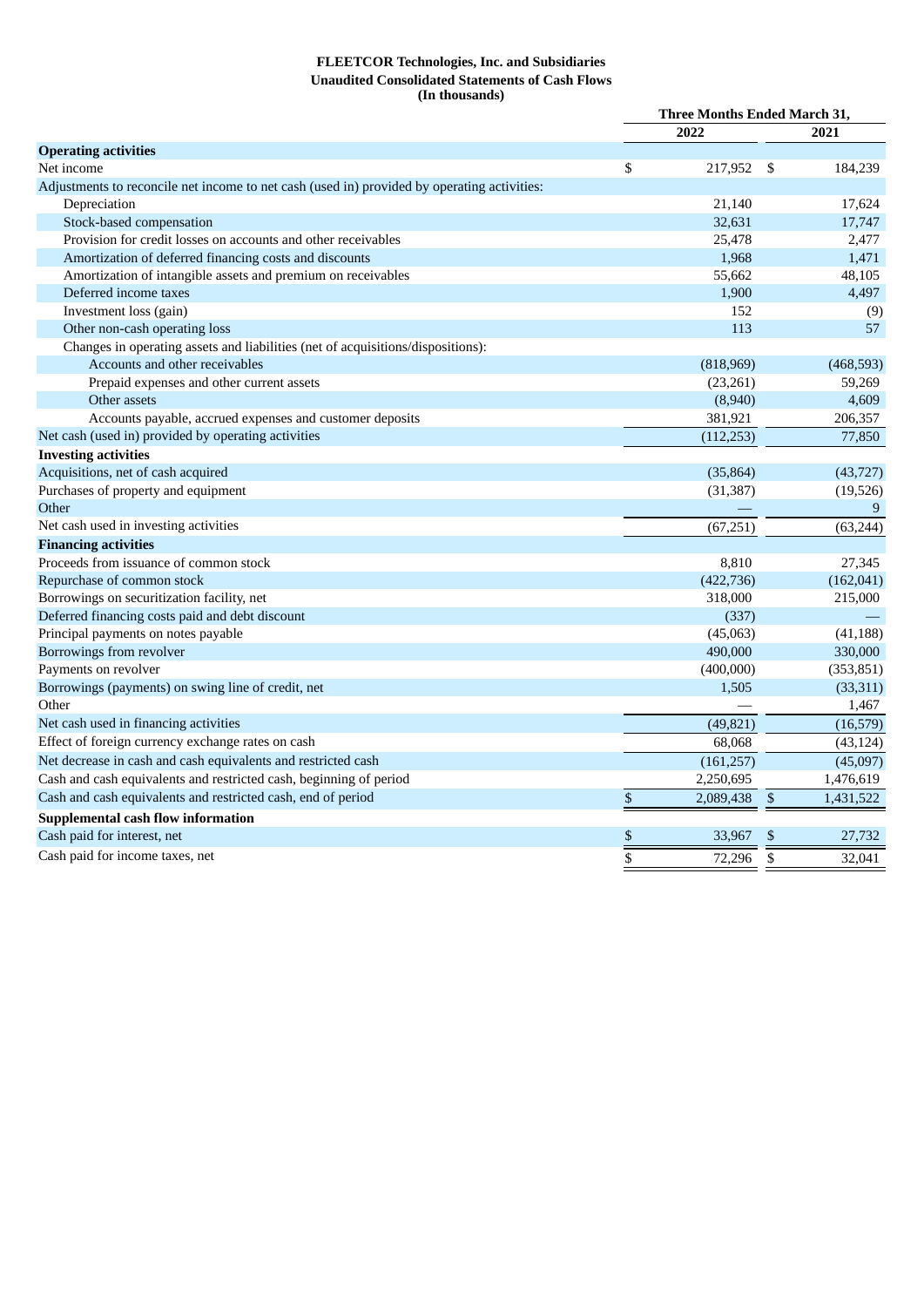#### **FLEETCOR Technologies, Inc. and Subsidiaries Unaudited Consolidated Statements of Cash Flows (In thousands)**

|                                                                                             | <b>Three Months Ended March 31,</b> |            |      |            |
|---------------------------------------------------------------------------------------------|-------------------------------------|------------|------|------------|
|                                                                                             |                                     | 2022       |      | 2021       |
| <b>Operating activities</b>                                                                 |                                     |            |      |            |
| Net income                                                                                  | \$                                  | 217,952    | -\$  | 184,239    |
| Adjustments to reconcile net income to net cash (used in) provided by operating activities: |                                     |            |      |            |
| Depreciation                                                                                |                                     | 21,140     |      | 17,624     |
| Stock-based compensation                                                                    |                                     | 32,631     |      | 17,747     |
| Provision for credit losses on accounts and other receivables                               |                                     | 25,478     |      | 2,477      |
| Amortization of deferred financing costs and discounts                                      |                                     | 1,968      |      | 1,471      |
| Amortization of intangible assets and premium on receivables                                |                                     | 55,662     |      | 48,105     |
| Deferred income taxes                                                                       |                                     | 1,900      |      | 4,497      |
| Investment loss (gain)                                                                      |                                     | 152        |      | (9)        |
| Other non-cash operating loss                                                               |                                     | 113        |      | 57         |
| Changes in operating assets and liabilities (net of acquisitions/dispositions):             |                                     |            |      |            |
| Accounts and other receivables                                                              |                                     | (818,969)  |      | (468, 593) |
| Prepaid expenses and other current assets                                                   |                                     | (23, 261)  |      | 59,269     |
| Other assets                                                                                |                                     | (8,940)    |      | 4,609      |
| Accounts payable, accrued expenses and customer deposits                                    |                                     | 381,921    |      | 206,357    |
| Net cash (used in) provided by operating activities                                         |                                     | (112, 253) |      | 77,850     |
| <b>Investing activities</b>                                                                 |                                     |            |      |            |
| Acquisitions, net of cash acquired                                                          |                                     | (35, 864)  |      | (43, 727)  |
| Purchases of property and equipment                                                         |                                     | (31, 387)  |      | (19,526)   |
| Other                                                                                       |                                     |            |      | 9          |
| Net cash used in investing activities                                                       |                                     | (67, 251)  |      | (63, 244)  |
| <b>Financing activities</b>                                                                 |                                     |            |      |            |
| Proceeds from issuance of common stock                                                      |                                     | 8,810      |      | 27,345     |
| Repurchase of common stock                                                                  |                                     | (422, 736) |      | (162, 041) |
| Borrowings on securitization facility, net                                                  |                                     | 318,000    |      | 215,000    |
| Deferred financing costs paid and debt discount                                             |                                     | (337)      |      |            |
| Principal payments on notes payable                                                         |                                     | (45,063)   |      | (41, 188)  |
| Borrowings from revolver                                                                    |                                     | 490,000    |      | 330,000    |
| Payments on revolver                                                                        |                                     | (400,000)  |      | (353, 851) |
| Borrowings (payments) on swing line of credit, net                                          |                                     | 1,505      |      | (33, 311)  |
| Other                                                                                       |                                     |            |      | 1,467      |
| Net cash used in financing activities                                                       |                                     | (49, 821)  |      | (16, 579)  |
| Effect of foreign currency exchange rates on cash                                           |                                     | 68,068     |      | (43, 124)  |
| Net decrease in cash and cash equivalents and restricted cash                               |                                     | (161, 257) |      | (45,097)   |
| Cash and cash equivalents and restricted cash, beginning of period                          |                                     | 2,250,695  |      | 1,476,619  |
| Cash and cash equivalents and restricted cash, end of period                                | \$                                  | 2,089,438  | $\$$ | 1,431,522  |
| <b>Supplemental cash flow information</b>                                                   |                                     |            |      |            |
| Cash paid for interest, net                                                                 | \$                                  | 33,967     | S    | 27,732     |
| Cash paid for income taxes, net                                                             | \$                                  | 72,296     | \$   | 32,041     |
|                                                                                             |                                     |            |      |            |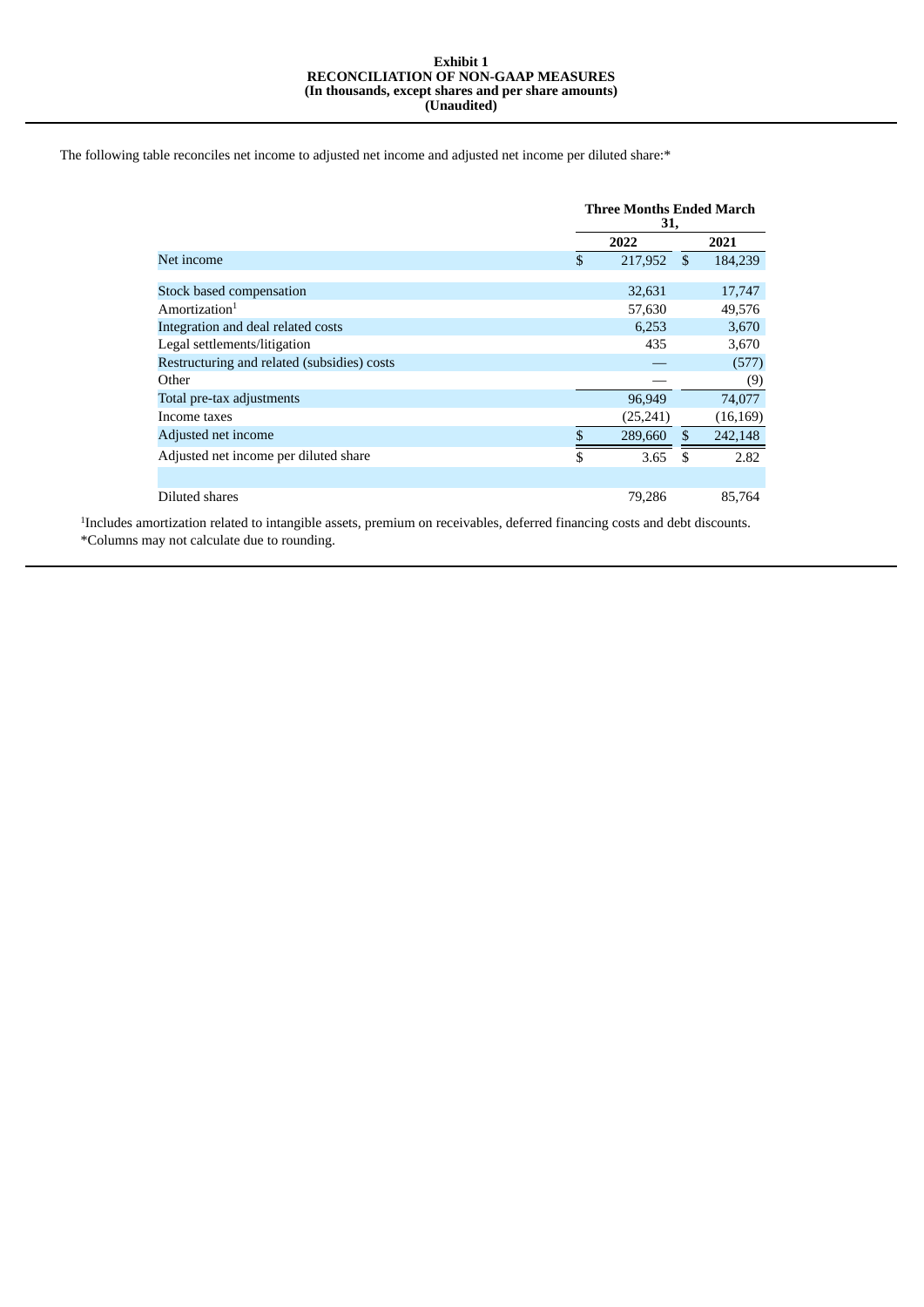#### **Exhibit 1 RECONCILIATION OF NON-GAAP MEASURES (In thousands, except shares and per share amounts) (Unaudited)**

The following table reconciles net income to adjusted net income and adjusted net income per diluted share:\*

|                                             |    | <b>Three Months Ended March</b> |               |           |
|---------------------------------------------|----|---------------------------------|---------------|-----------|
|                                             |    | 2022                            |               | 2021      |
| Net income                                  | \$ | 217,952                         | $\mathcal{S}$ | 184,239   |
|                                             |    |                                 |               |           |
| Stock based compensation                    |    | 32,631                          |               | 17,747    |
| Amortization <sup>1</sup>                   |    | 57,630                          |               | 49,576    |
| Integration and deal related costs          |    | 6,253                           |               | 3,670     |
| Legal settlements/litigation                |    | 435                             |               | 3,670     |
| Restructuring and related (subsidies) costs |    |                                 |               | (577)     |
| Other                                       |    |                                 |               | (9)       |
| Total pre-tax adjustments                   |    | 96,949                          |               | 74,077    |
| Income taxes                                |    | (25, 241)                       |               | (16, 169) |
| Adjusted net income                         | \$ | 289,660                         | \$            | 242,148   |
| Adjusted net income per diluted share       | \$ | 3.65                            | -S            | 2.82      |
| Diluted shares                              |    | 79,286                          |               | 85,764    |

<sup>1</sup>Includes amortization related to intangible assets, premium on receivables, deferred financing costs and debt discounts. \*Columns may not calculate due to rounding.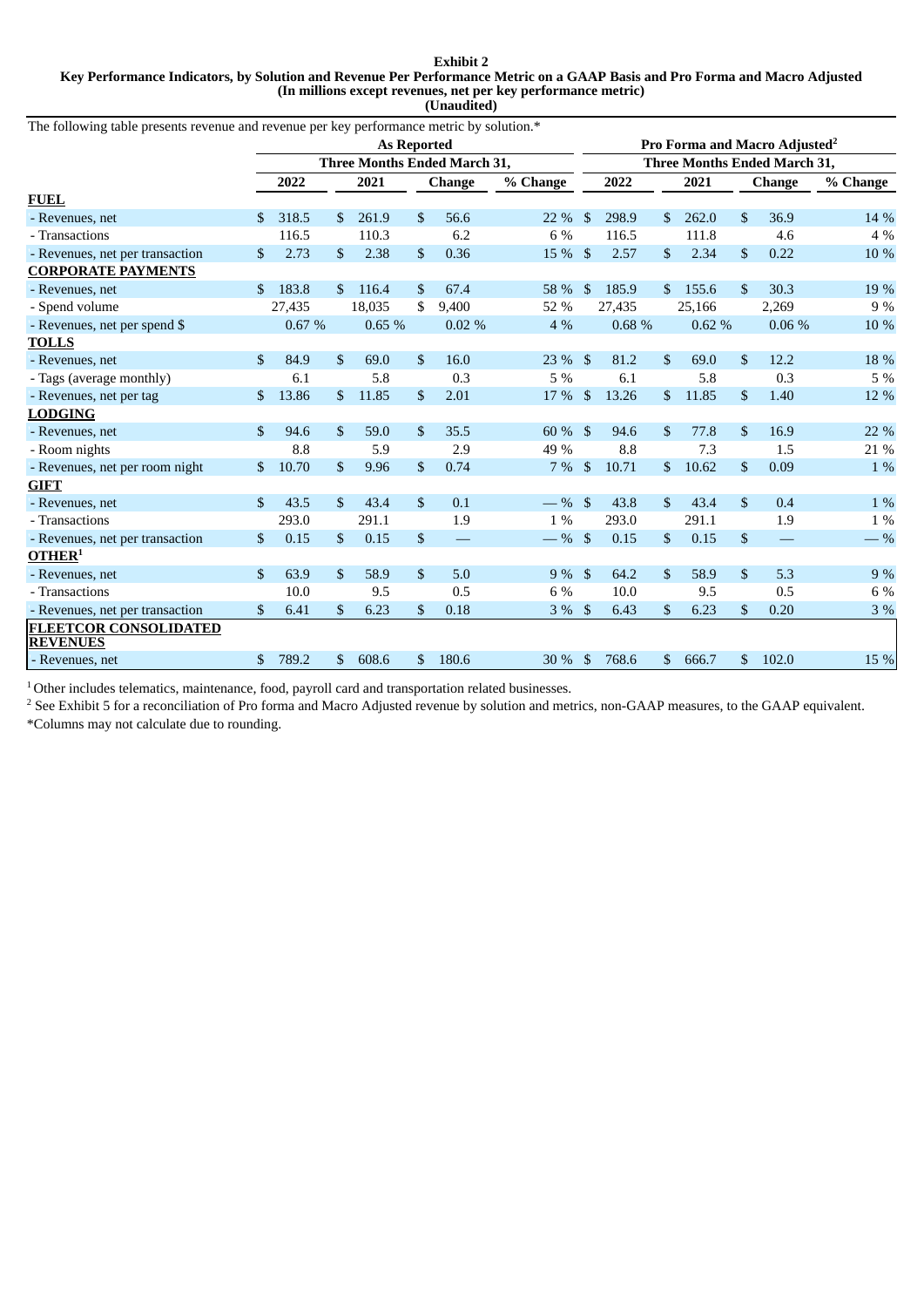**Exhibit 2** Key Performance Indicators, by Solution and Revenue Per Performance Metric on a GAAP Basis and Pro Forma and Macro Adjusted **(In millions except revenues, net per key performance metric) (Unaudited)**

The following table presents revenue and revenue per key performance metric by solution.\*

|                                                 |              | <b>As Reported</b> |              |                                     |                |                          |           |                |                                     |              |        |               | Pro Forma and Macro Adjusted <sup>2</sup> |          |
|-------------------------------------------------|--------------|--------------------|--------------|-------------------------------------|----------------|--------------------------|-----------|----------------|-------------------------------------|--------------|--------|---------------|-------------------------------------------|----------|
|                                                 |              |                    |              | <b>Three Months Ended March 31,</b> |                |                          |           |                | <b>Three Months Ended March 31.</b> |              |        |               |                                           |          |
|                                                 |              | 2022               |              | 2021                                |                | <b>Change</b>            | % Change  |                | 2022                                |              | 2021   |               | <b>Change</b>                             | % Change |
| <b>FUEL</b>                                     |              |                    |              |                                     |                |                          |           |                |                                     |              |        |               |                                           |          |
| - Revenues, net                                 | $\mathbb{S}$ | 318.5              | \$.          | 261.9                               | $\mathbb{S}$   | 56.6                     | 22 %      | -\$            | 298.9                               | $\mathbf{s}$ | 262.0  | \$            | 36.9                                      | 14 %     |
| - Transactions                                  |              | 116.5              |              | 110.3                               |                | 6.2                      | 6 %       |                | 116.5                               |              | 111.8  |               | 4.6                                       | 4 %      |
| - Revenues, net per transaction                 | $\mathbb{S}$ | 2.73               | $\mathbf{s}$ | 2.38                                | $\mathbf{s}$   | 0.36                     | 15 % \$   |                | 2.57                                | $\mathbf{s}$ | 2.34   | $\mathcal{S}$ | 0.22                                      | 10 %     |
| <b>CORPORATE PAYMENTS</b>                       |              |                    |              |                                     |                |                          |           |                |                                     |              |        |               |                                           |          |
| - Revenues, net                                 | \$           | 183.8              | $\mathbf{s}$ | 116.4                               | $\mathcal{S}$  | 67.4                     | 58 %      | \$             | 185.9                               | $\mathbf{s}$ | 155.6  | \$            | 30.3                                      | 19 %     |
| - Spend volume                                  |              | 27,435             |              | 18,035                              | \$             | 9,400                    | 52 %      |                | 27,435                              |              | 25,166 |               | 2,269                                     | 9%       |
| - Revenues, net per spend \$                    |              | 0.67%              |              | 0.65%                               |                | 0.02%                    | $4\%$     |                | 0.68%                               |              | 0.62%  |               | 0.06%                                     | 10 %     |
| <b>TOLLS</b>                                    |              |                    |              |                                     |                |                          |           |                |                                     |              |        |               |                                           |          |
| - Revenues, net                                 | \$           | 84.9               | \$           | 69.0                                | $\mathbb{S}$   | 16.0                     | $23\%$ \$ |                | 81.2                                | $\mathbb{S}$ | 69.0   | \$            | 12.2                                      | 18 %     |
| - Tags (average monthly)                        |              | 6.1                |              | 5.8                                 |                | 0.3                      | 5%        |                | 6.1                                 |              | 5.8    |               | 0.3                                       | 5 %      |
| - Revenues, net per tag                         | $\mathbb{S}$ | 13.86              | $\mathbb{S}$ | 11.85                               | $\mathbb{S}$   | 2.01                     | 17 %      | $\mathfrak{s}$ | 13.26                               | $\mathbb{S}$ | 11.85  | \$            | 1.40                                      | 12 %     |
| <b>LODGING</b>                                  |              |                    |              |                                     |                |                          |           |                |                                     |              |        |               |                                           |          |
| - Revenues, net                                 | \$           | 94.6               | $\mathbf{s}$ | 59.0                                | $\mathbb{S}$   | 35.5                     | 60 %      | -\$            | 94.6                                | $\mathbf{s}$ | 77.8   | $\mathbb{S}$  | 16.9                                      | 22 %     |
| - Room nights                                   |              | 8.8                |              | 5.9                                 |                | 2.9                      | 49 %      |                | 8.8                                 |              | 7.3    |               | 1.5                                       | 21 %     |
| - Revenues, net per room night                  | \$           | 10.70              | $\mathbb{S}$ | 9.96                                | $\mathbb{S}$   | 0.74                     | $7\%$     | $\mathfrak{s}$ | 10.71                               | $\mathbb{S}$ | 10.62  | \$            | 0.09                                      | 1 %      |
| <b>GIFT</b>                                     |              |                    |              |                                     |                |                          |           |                |                                     |              |        |               |                                           |          |
| - Revenues, net                                 | $\mathbb{S}$ | 43.5               | $\mathbb{S}$ | 43.4                                | $\mathbb{S}$   | 0.1                      | $-$ % \$  |                | 43.8                                | $\mathbb{S}$ | 43.4   | \$            | 0.4                                       | 1 %      |
| - Transactions                                  |              | 293.0              |              | 291.1                               |                | 1.9                      | $1\%$     |                | 293.0                               |              | 291.1  |               | 1.9                                       | 1 %      |
| - Revenues, net per transaction                 | \$           | 0.15               | \$           | 0.15                                | $\mathfrak{S}$ | $\overline{\phantom{0}}$ | $-$ % \$  |                | 0.15                                | \$           | 0.15   | \$            | $\overline{\phantom{0}}$                  | $-$ %    |
| OTHEN <sup>1</sup>                              |              |                    |              |                                     |                |                          |           |                |                                     |              |        |               |                                           |          |
| - Revenues, net                                 | $\mathbb{S}$ | 63.9               | $\mathbf{s}$ | 58.9                                | $\mathbb{S}$   | 5.0                      | $9\%$ \$  |                | 64.2                                | $\mathbf{s}$ | 58.9   | $\mathbb{S}$  | 5.3                                       | 9%       |
| - Transactions                                  |              | 10.0               |              | 9.5                                 |                | 0.5                      | 6 %       |                | 10.0                                |              | 9.5    |               | 0.5                                       | 6 %      |
| - Revenues, net per transaction                 | \$           | 6.41               | \$           | 6.23                                | \$             | 0.18                     | $3\%$ \$  |                | 6.43                                | \$           | 6.23   | \$            | 0.20                                      | 3 %      |
| <b>FLEETCOR CONSOLIDATED</b><br><b>REVENUES</b> |              |                    |              |                                     |                |                          |           |                |                                     |              |        |               |                                           |          |
| - Revenues, net                                 | \$           | 789.2              | \$           | 608.6                               | \$             | 180.6                    | 30 %      | \$             | 768.6                               | \$           | 666.7  | \$            | 102.0                                     | 15 %     |

 $1$  Other includes telematics, maintenance, food, payroll card and transportation related businesses.

 $^2$  See Exhibit 5 for a reconciliation of Pro forma and Macro Adjusted revenue by solution and metrics, non-GAAP measures, to the GAAP equivalent.

\*Columns may not calculate due to rounding.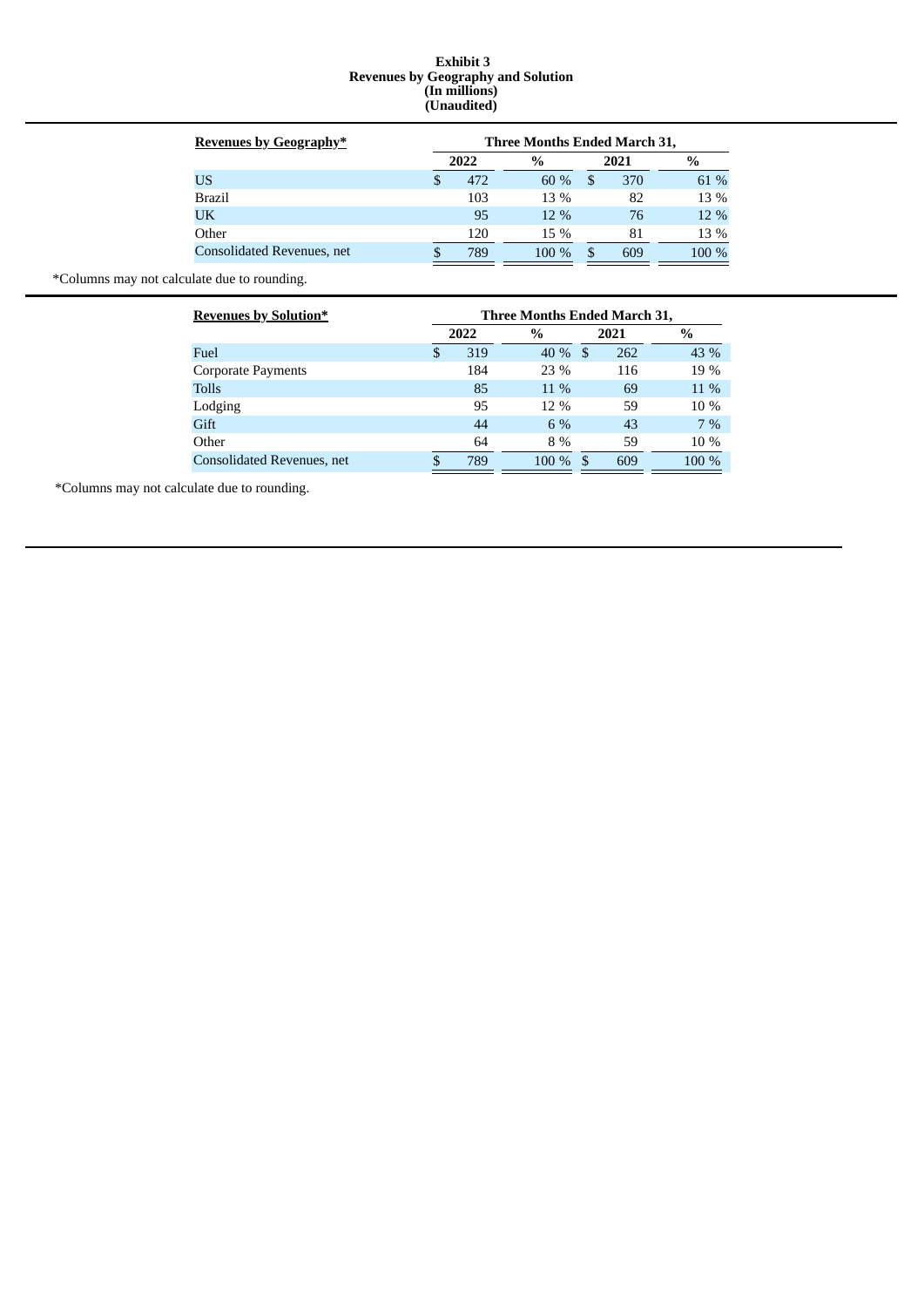#### **Exhibit 3 Revenues by Geography and Solution (In millions) (Unaudited)**

| <b>Revenues by Geography*</b> |   |      | Three Months Ended March 31, |      |       |
|-------------------------------|---|------|------------------------------|------|-------|
|                               |   | 2022 |                              | 2021 | $\%$  |
| US                            | D | 472  | 60%                          | 370  | 61 %  |
| <b>Brazil</b>                 |   | 103  | 13 %                         | 82   | 13 %  |
| UK                            |   | 95   | $12\%$                       | 76   | 12 %  |
| Other                         |   | 120  | 15 %                         | 81   | 13 %  |
| Consolidated Revenues, net    |   | 789  | 100 %                        | 609  | 100 % |

\*Columns may not calculate due to rounding.

| <b>Revenues by Solution*</b> | Three Months Ended March 31, |      |        |      |     |         |  |  |  |  |
|------------------------------|------------------------------|------|--------|------|-----|---------|--|--|--|--|
|                              |                              | 2022 | $\%$   | 2021 |     | $\%$    |  |  |  |  |
| Fuel                         | S                            | 319  | 40 %   | - \$ | 262 | 43 %    |  |  |  |  |
| <b>Corporate Payments</b>    |                              | 184  | 23 %   |      | 116 | 19 %    |  |  |  |  |
| <b>Tolls</b>                 |                              | 85   | $11\%$ |      | 69  | 11 %    |  |  |  |  |
| Lodging                      |                              | 95   | $12\%$ |      | 59  | 10 %    |  |  |  |  |
| Gift                         |                              | 44   | 6 %    |      | 43  | $7\%$   |  |  |  |  |
| Other                        |                              | 64   | 8 %    |      | 59  | 10 %    |  |  |  |  |
| Consolidated Revenues, net   | \$.                          | 789  | 100 %  | S    | 609 | $100\%$ |  |  |  |  |

\*Columns may not calculate due to rounding.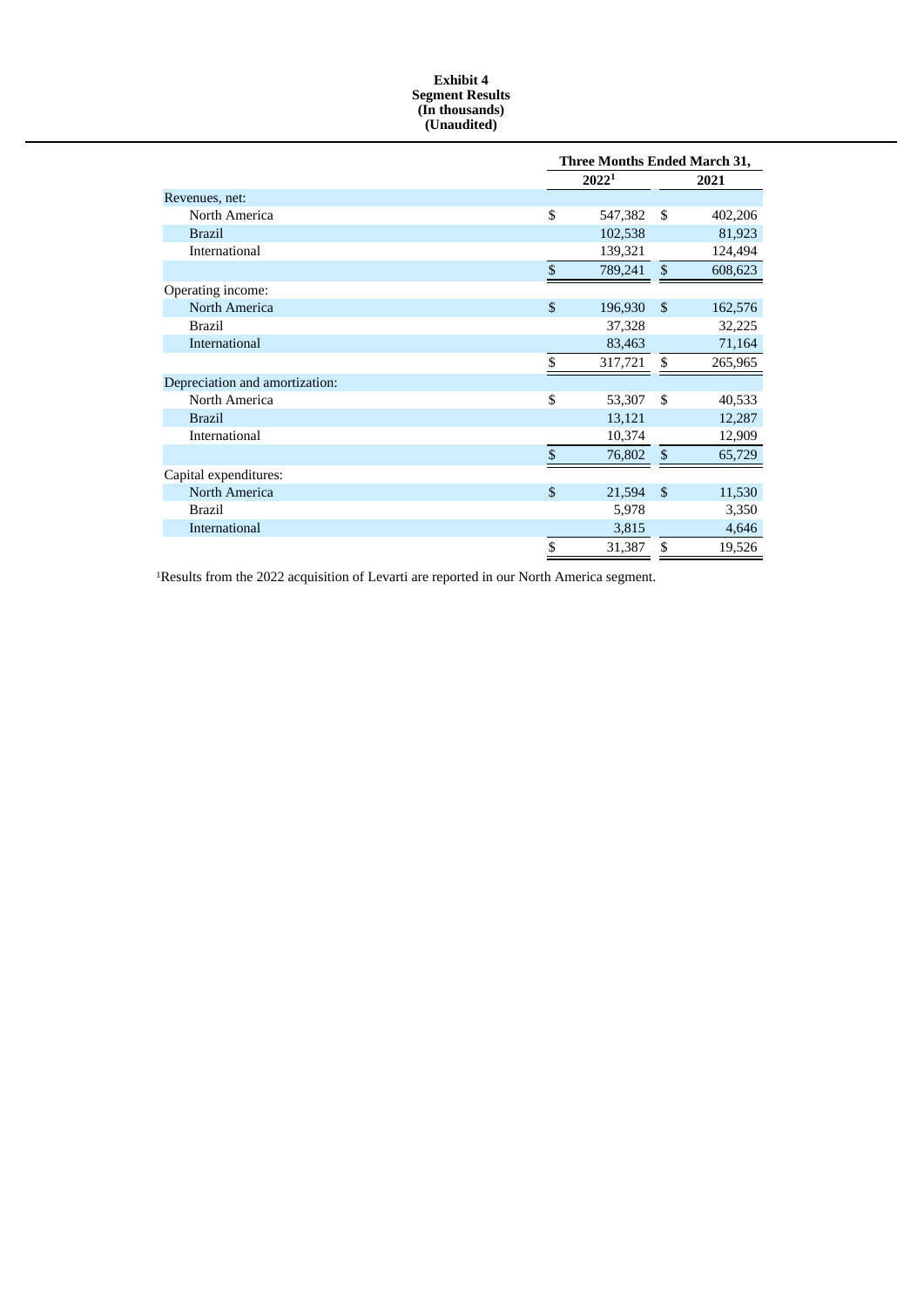#### **Exhibit 4 Segment Results (In thousands) (Unaudited)**

|                                |              | Three Months Ended March 31, |               |         |
|--------------------------------|--------------|------------------------------|---------------|---------|
|                                |              | 2022 <sup>1</sup>            |               | 2021    |
| Revenues, net:                 |              |                              |               |         |
| North America                  | \$           | 547,382                      | S             | 402,206 |
| <b>Brazil</b>                  |              | 102,538                      |               | 81,923  |
| International                  |              | 139,321                      |               | 124,494 |
|                                | \$           | 789,241                      | \$            | 608,623 |
| Operating income:              |              |                              |               |         |
| <b>North America</b>           | $\mathbb{S}$ | 196,930                      | $\mathbb{S}$  | 162,576 |
| <b>Brazil</b>                  |              | 37,328                       |               | 32,225  |
| International                  |              | 83,463                       |               | 71,164  |
|                                | \$           | 317,721                      | \$            | 265,965 |
| Depreciation and amortization: |              |                              |               |         |
| North America                  | \$           | 53,307                       | <sup>\$</sup> | 40,533  |
| <b>Brazil</b>                  |              | 13,121                       |               | 12,287  |
| International                  |              | 10,374                       |               | 12,909  |
|                                | \$           | 76,802                       | \$            | 65,729  |
| Capital expenditures:          |              |                              |               |         |
| North America                  | \$           | 21,594                       | $\mathcal{S}$ | 11,530  |
| <b>Brazil</b>                  |              | 5,978                        |               | 3,350   |
| International                  |              | 3,815                        |               | 4,646   |
|                                | \$           | 31,387                       | \$            | 19,526  |

<sup>1</sup>Results from the 2022 acquisition of Levarti are reported in our North America segment.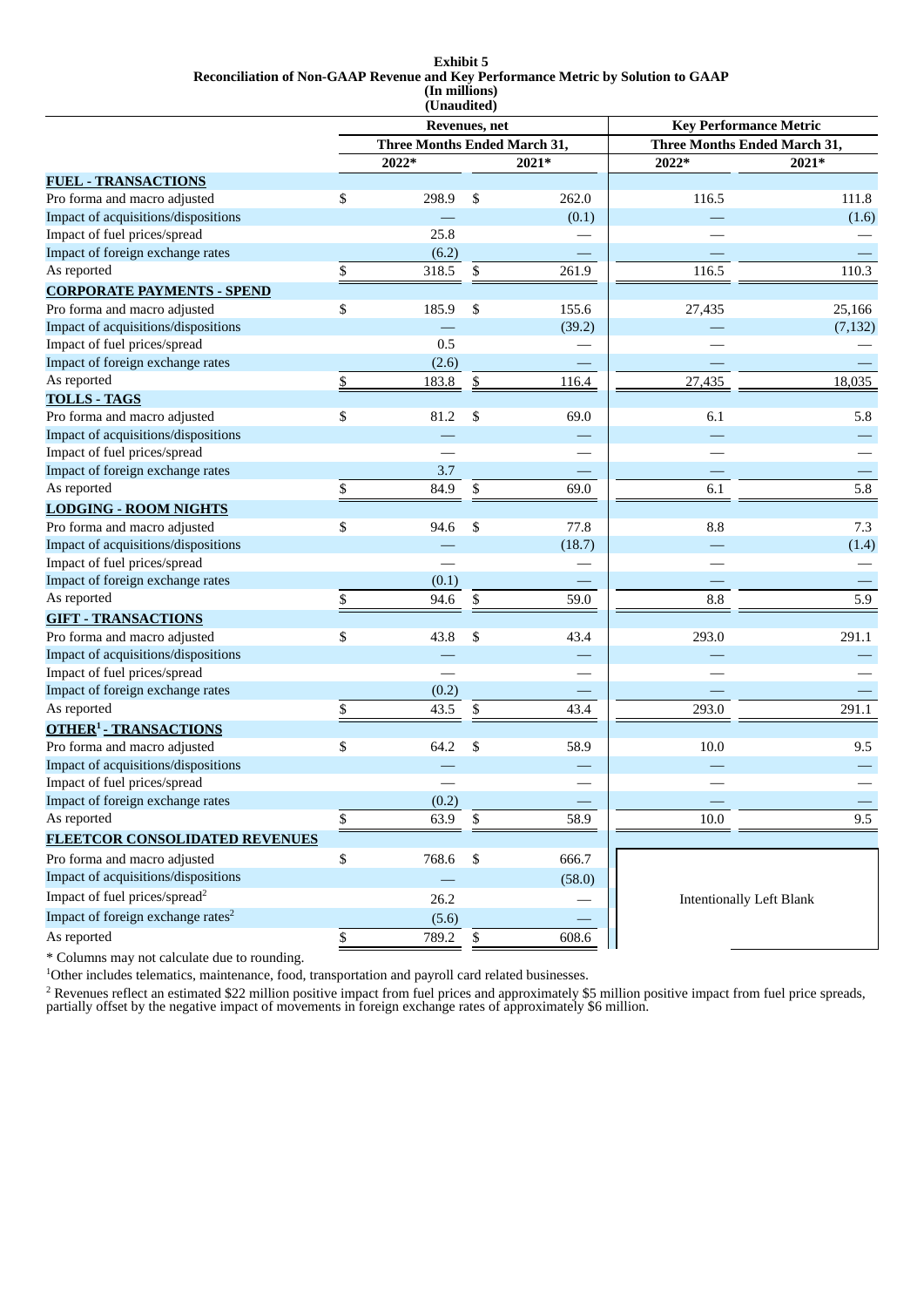#### **Exhibit 5 Reconciliation of Non-GAAP Revenue and Key Performance Metric by Solution to GAAP (In millions)**

|                                               | (Unaudited)                  |             |                          |        |                                     |
|-----------------------------------------------|------------------------------|-------------|--------------------------|--------|-------------------------------------|
|                                               | Revenues, net                |             |                          |        | <b>Key Performance Metric</b>       |
|                                               | Three Months Ended March 31, |             |                          |        | <b>Three Months Ended March 31,</b> |
|                                               | 2022*                        |             | 2021*                    | 2022*  | 2021*                               |
| <b>FUEL - TRANSACTIONS</b>                    |                              |             |                          |        |                                     |
| Pro forma and macro adjusted                  | \$<br>298.9                  | \$          | 262.0                    | 116.5  | 111.8                               |
| Impact of acquisitions/dispositions           |                              |             | (0.1)                    |        | (1.6)                               |
| Impact of fuel prices/spread                  | 25.8                         |             |                          |        |                                     |
| Impact of foreign exchange rates              | (6.2)                        |             |                          |        |                                     |
| As reported                                   | \$<br>318.5                  | \$          | 261.9                    | 116.5  | 110.3                               |
| <b>CORPORATE PAYMENTS - SPEND</b>             |                              |             |                          |        |                                     |
| Pro forma and macro adjusted                  | \$<br>185.9                  | \$          | 155.6                    | 27,435 | 25,166                              |
| Impact of acquisitions/dispositions           |                              |             | (39.2)                   |        | (7, 132)                            |
| Impact of fuel prices/spread                  | 0.5                          |             |                          |        |                                     |
| Impact of foreign exchange rates              | (2.6)                        |             |                          |        |                                     |
| As reported                                   | \$<br>183.8                  | \$          | 116.4                    | 27,435 | 18,035                              |
| <b>TOLLS - TAGS</b>                           |                              |             |                          |        |                                     |
| Pro forma and macro adjusted                  | \$<br>81.2                   | \$          | 69.0                     | 6.1    | 5.8                                 |
| Impact of acquisitions/dispositions           |                              |             |                          |        |                                     |
| Impact of fuel prices/spread                  |                              |             |                          |        |                                     |
| Impact of foreign exchange rates              | 3.7                          |             |                          |        |                                     |
| As reported                                   | \$<br>84.9                   | \$          | 69.0                     | 6.1    | 5.8                                 |
| <b>LODGING - ROOM NIGHTS</b>                  |                              |             |                          |        |                                     |
| Pro forma and macro adjusted                  | \$<br>94.6                   | \$          | 77.8                     | 8.8    | 7.3                                 |
| Impact of acquisitions/dispositions           |                              |             | (18.7)                   |        | (1.4)                               |
| Impact of fuel prices/spread                  |                              |             |                          |        |                                     |
| Impact of foreign exchange rates              | (0.1)                        |             |                          |        |                                     |
| As reported                                   | \$<br>94.6                   | \$          | 59.0                     | 8.8    | 5.9                                 |
| <b>GIFT - TRANSACTIONS</b>                    |                              |             |                          |        |                                     |
| Pro forma and macro adjusted                  | \$<br>43.8                   | \$          | 43.4                     | 293.0  | 291.1                               |
| Impact of acquisitions/dispositions           |                              |             |                          |        |                                     |
| Impact of fuel prices/spread                  |                              |             |                          |        |                                     |
| Impact of foreign exchange rates              | (0.2)                        |             | $\overline{\phantom{m}}$ |        |                                     |
| As reported                                   | \$<br>43.5                   | \$          | 43.4                     | 293.0  | 291.1                               |
| <b>OTHER<sup>1</sup> - TRANSACTIONS</b>       |                              |             |                          |        |                                     |
| Pro forma and macro adjusted                  | \$<br>64.2                   | \$          | 58.9                     | 10.0   | 9.5                                 |
| Impact of acquisitions/dispositions           |                              |             |                          |        |                                     |
| Impact of fuel prices/spread                  |                              |             |                          |        |                                     |
| Impact of foreign exchange rates              | (0.2)                        |             |                          |        |                                     |
| As reported                                   | \$<br>63.9                   | \$          | 58.9                     | 10.0   | 9.5                                 |
| <b>FLEETCOR CONSOLIDATED REVENUES</b>         |                              |             |                          |        |                                     |
| Pro forma and macro adjusted                  | \$<br>768.6                  | \$          | 666.7                    |        |                                     |
| Impact of acquisitions/dispositions           |                              |             | (58.0)                   |        |                                     |
| Impact of fuel prices/spread <sup>2</sup>     | 26.2                         |             |                          |        | <b>Intentionally Left Blank</b>     |
| Impact of foreign exchange rates <sup>2</sup> | (5.6)                        |             |                          |        |                                     |
| As reported                                   | \$<br>789.2                  | $\mathbb S$ | 608.6                    |        |                                     |

\* Columns may not calculate due to rounding.

<sup>1</sup>Other includes telematics, maintenance, food, transportation and payroll card related businesses.

 $P^2$  Revenues reflect an estimated \$22 million positive impact from fuel prices and approximately \$5 million positive impact from fuel price spreads, partially offset by the negative impact of movements in foreign exchange rates of approximately \$6 million.